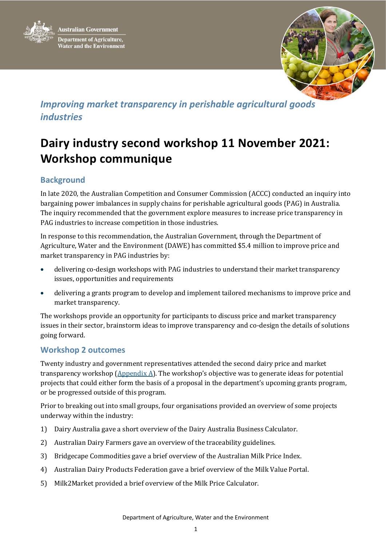



## *Improving market transparency in perishable agricultural goods industries*

# **Dairy industry second workshop 11 November 2021: Workshop communique**

### **Background**

In late 2020, the Australian Competition and Consumer Commission (ACCC) conducted an inquiry into bargaining power imbalances in supply chains for perishable agricultural goods (PAG) in Australia. The inquiry recommended that the government explore measures to increase price transparency in PAG industries to increase competition in those industries.

In response to this recommendation, the Australian Government, through the Department of Agriculture, Water and the Environment (DAWE) has committed \$5.4 million to improve price and market transparency in PAG industries by:

- delivering co-design workshops with PAG industries to understand their market transparency issues, opportunities and requirements
- delivering a grants program to develop and implement tailored mechanisms to improve price and market transparency.

The workshops provide an opportunity for participants to discuss price and market transparency issues in their sector, brainstorm ideas to improve transparency and co-design the details of solutions going forward.

#### **Workshop 2 outcomes**

Twenty industry and government representatives attended the second dairy price and market transparency workshop (Appendix A). The workshop's objective was to generate ideas for potential projects that could either form the basis of a proposal in the department's upcoming grants program, or be progressed outside of this program.

Prior to breaking out into small groups, four organisations provided an overview of some projects underway within the industry:

- 1) Dairy Australia gave a short overview of the Dairy Australia Business Calculator.
- 2) Australian Dairy Farmers gave an overview of the traceability guidelines.
- 3) Bridgecape Commodities gave a brief overview of the Australian Milk Price Index.
- 4) Australian Dairy Products Federation gave a brief overview of the Milk Value Portal.
- 5) Milk2Market provided a brief overview of the Milk Price Calculator.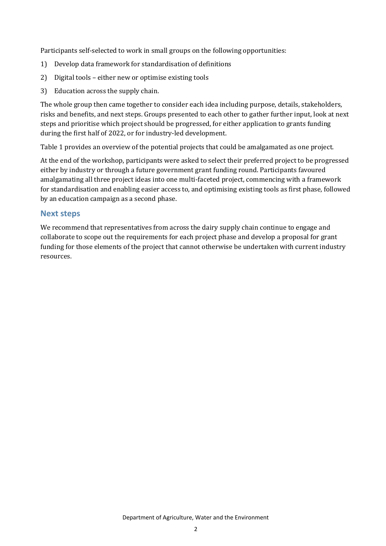Participants self-selected to work in small groups on the following opportunities:

- 1) Develop data framework for standardisation of definitions
- 2) Digital tools either new or optimise existing tools
- 3) Education across the supply chain.

The whole group then came together to consider each idea including purpose, details, stakeholders, risks and benefits, and next steps. Groups presented to each other to gather further input, look at next steps and prioritise which project should be progressed, for either application to grants funding during the first half of 2022, or for industry-led development.

Table 1 provides an overview of the potential projects that could be amalgamated as one project.

At the end of the workshop, participants were asked to select their preferred project to be progressed either by industry or through a future government grant funding round. Participants favoured amalgamating all three project ideas into one multi-faceted project, commencing with a framework for standardisation and enabling easier access to, and optimising existing tools as first phase, followed by an education campaign as a second phase.

#### **Next steps**

We recommend that representatives from across the dairy supply chain continue to engage and collaborate to scope out the requirements for each project phase and develop a proposal for grant funding for those elements of the project that cannot otherwise be undertaken with current industry resources.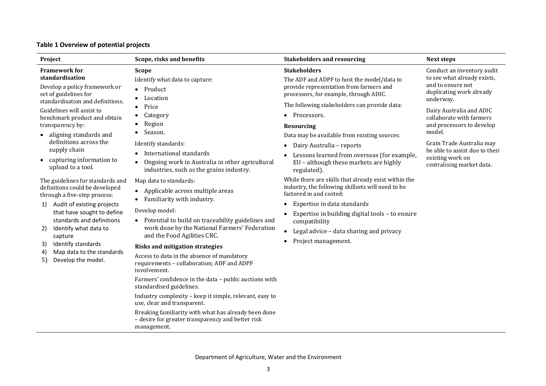| Table 1 Overview of potential projects |  |  |  |
|----------------------------------------|--|--|--|
|----------------------------------------|--|--|--|

| Project                                                                                                                                                                                                                                                                                                                                                                                                                                                                                                                                                                                                                                                                                            | Scope, risks and benefits                                                                                                                                                                                                                                                                                                                                                                                                                                                                                                                                                                                                                                                                                                                                                                                                                                                                                                                                                                              | <b>Stakeholders and resourcing</b>                                                                                                                                                                                                                                                                                                                                                                                                                                                                                                                                                                                                                                                                                                           | <b>Next steps</b>                                                                                                                                                                                                                                                                                                                      |
|----------------------------------------------------------------------------------------------------------------------------------------------------------------------------------------------------------------------------------------------------------------------------------------------------------------------------------------------------------------------------------------------------------------------------------------------------------------------------------------------------------------------------------------------------------------------------------------------------------------------------------------------------------------------------------------------------|--------------------------------------------------------------------------------------------------------------------------------------------------------------------------------------------------------------------------------------------------------------------------------------------------------------------------------------------------------------------------------------------------------------------------------------------------------------------------------------------------------------------------------------------------------------------------------------------------------------------------------------------------------------------------------------------------------------------------------------------------------------------------------------------------------------------------------------------------------------------------------------------------------------------------------------------------------------------------------------------------------|----------------------------------------------------------------------------------------------------------------------------------------------------------------------------------------------------------------------------------------------------------------------------------------------------------------------------------------------------------------------------------------------------------------------------------------------------------------------------------------------------------------------------------------------------------------------------------------------------------------------------------------------------------------------------------------------------------------------------------------------|----------------------------------------------------------------------------------------------------------------------------------------------------------------------------------------------------------------------------------------------------------------------------------------------------------------------------------------|
| <b>Framework for</b><br>standardisation<br>Develop a policy framework or<br>set of guidelines for<br>standardisation and definitions.<br>Guidelines will assist to<br>benchmark product and obtain<br>transparency by:<br>aligning standards and<br>definitions across the<br>supply chain<br>capturing information to<br>$\bullet$<br>upload to a tool.<br>The guidelines for standards and<br>definitions could be developed<br>through a five-step process:<br>Audit of existing projects<br>1)<br>that have sought to define<br>standards and definitions<br>Identify what data to<br>2)<br>capture<br>Identify standards<br>3)<br>Map data to the standards<br>4)<br>5)<br>Develop the model. | <b>Scope</b><br>Identify what data to capture:<br>Product<br>Location<br>Price<br>$\bullet$<br>Category<br>Region<br>Season.<br>Identify standards:<br>International standards<br>Ongoing work in Australia in other agricultural<br>industries, such as the grains industry.<br>Map data to standards:<br>• Applicable across multiple areas<br>Familiarity with industry.<br>Develop model:<br>• Potential to build on traceability guidelines and<br>work done by the National Farmers' Federation<br>and the Food Agilities CRC.<br><b>Risks and mitigation strategies</b><br>Access to data in the absence of mandatory<br>requirements - collaboration; ADF and ADPF<br>involvement.<br>Farmers' confidence in the data - public auctions with<br>standardised guidelines.<br>Industry complexity - keep it simple, relevant, easy to<br>use, clear and transparent.<br>Breaking familiarity with what has already been done<br>- desire for greater transparency and better risk<br>management. | <b>Stakeholders</b><br>The ADF and ADPF to host the model/data to<br>provide representation from farmers and<br>processors, for example, through ADIC.<br>The following stakeholders can provide data:<br>Processors.<br><b>Resourcing</b><br>Data may be available from existing sources:<br>Dairy Australia - reports<br>Lessons learned from overseas (for example,<br>EU - although these markets are highly<br>regulated).<br>While there are skills that already exist within the<br>industry, the following skillsets will need to be<br>factored in and costed:<br>Expertise in data standards<br>Expertise in building digital tools - to ensure<br>compatibility<br>Legal advice - data sharing and privacy<br>Project management. | Conduct an inventory audit<br>to see what already exists,<br>and to ensure not<br>duplicating work already<br>underway.<br>Dairy Australia and ADIC<br>collaborate with farmers<br>and processors to develop<br>model.<br>Grain Trade Australia may<br>be able to assist due to their<br>existing work on<br>centralising market data. |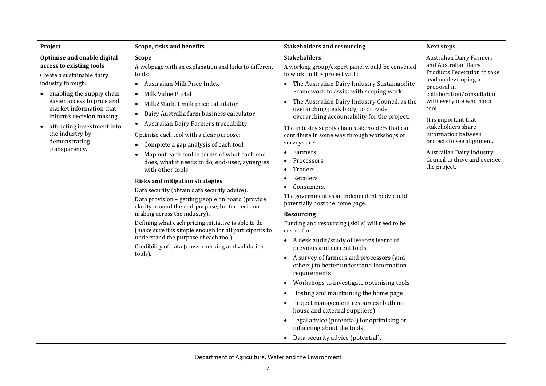| Project                                                                                                                                                                          | Scope, risks and benefits                                                                                                                                                                                                      | <b>Stakeholders and resourcing</b>                                                                                                                                                                                                                               | <b>Next steps</b>                                                                                                                                                                                                                                                                                                                                                               |  |
|----------------------------------------------------------------------------------------------------------------------------------------------------------------------------------|--------------------------------------------------------------------------------------------------------------------------------------------------------------------------------------------------------------------------------|------------------------------------------------------------------------------------------------------------------------------------------------------------------------------------------------------------------------------------------------------------------|---------------------------------------------------------------------------------------------------------------------------------------------------------------------------------------------------------------------------------------------------------------------------------------------------------------------------------------------------------------------------------|--|
| Optimise and enable digital<br>access to existing tools<br>Create a sustainable dairy                                                                                            | <b>Scope</b>                                                                                                                                                                                                                   | <b>Stakeholders</b>                                                                                                                                                                                                                                              | <b>Australian Dairy Farmers</b><br>and Australian Dairy<br>Products Federation to take<br>lead on developing a<br>proposal in<br>collaboration/consultation<br>with everyone who has a<br>tool.<br>It is important that<br>stakeholders share<br>information between<br>projects to see alignment.<br>Australian Dairy Industry<br>Council to drive and oversee<br>the project. |  |
|                                                                                                                                                                                  | A webpage with an explanation and links to different<br>tools:                                                                                                                                                                 | A working group/expert panel would be convened<br>to work on this project with:                                                                                                                                                                                  |                                                                                                                                                                                                                                                                                                                                                                                 |  |
| industry through:<br>• enabling the supply chain                                                                                                                                 | Australian Milk Price Index<br>$\bullet$<br>Milk Value Portal<br>$\bullet$                                                                                                                                                     | The Australian Dairy Industry Sustainability<br>$\bullet$<br>Framework to assist with scoping work                                                                                                                                                               |                                                                                                                                                                                                                                                                                                                                                                                 |  |
| easier access to price and<br>market information that<br>informs decision making<br>attracting investment into<br>$\bullet$<br>the industry by<br>demonstrating<br>transparency. | Milk2Market milk price calculator<br>$\bullet$                                                                                                                                                                                 | The Australian Dairy Industry Council, as the<br>$\bullet$<br>overarching peak body, to provide<br>overarching accountability for the project.<br>The industry supply chain stakeholders that can<br>contribute in some way through workshops or<br>surveys are: |                                                                                                                                                                                                                                                                                                                                                                                 |  |
|                                                                                                                                                                                  | Dairy Australia farm business calculator<br>$\bullet$<br>Australian Dairy Farmers traceability.                                                                                                                                |                                                                                                                                                                                                                                                                  |                                                                                                                                                                                                                                                                                                                                                                                 |  |
|                                                                                                                                                                                  | Optimise each tool with a clear purpose:<br>Complete a gap analysis of each tool                                                                                                                                               |                                                                                                                                                                                                                                                                  |                                                                                                                                                                                                                                                                                                                                                                                 |  |
|                                                                                                                                                                                  | Map out each tool in terms of what each one<br>does, what it needs to do, end-user, synergies<br>with other tools.                                                                                                             | Farmers<br>Processors<br>Traders                                                                                                                                                                                                                                 |                                                                                                                                                                                                                                                                                                                                                                                 |  |
|                                                                                                                                                                                  | <b>Risks and mitigation strategies</b><br>Data security (obtain data security advice).<br>Data provision - getting people on board (provide<br>clarity around the end-purpose; better decision<br>making across the industry). | Retailers<br>Consumers.                                                                                                                                                                                                                                          |                                                                                                                                                                                                                                                                                                                                                                                 |  |
|                                                                                                                                                                                  |                                                                                                                                                                                                                                | The government as an independent body could<br>potentially host the home page.                                                                                                                                                                                   |                                                                                                                                                                                                                                                                                                                                                                                 |  |
|                                                                                                                                                                                  |                                                                                                                                                                                                                                | <b>Resourcing</b>                                                                                                                                                                                                                                                |                                                                                                                                                                                                                                                                                                                                                                                 |  |
|                                                                                                                                                                                  | Defining what each pricing initiative is able to do<br>(make sure it is simple enough for all participants to<br>understand the purpose of each tool).<br>Credibility of data (cross-checking and validation<br>tools).        | Funding and resourcing (skills) will need to be<br>costed for:                                                                                                                                                                                                   |                                                                                                                                                                                                                                                                                                                                                                                 |  |
|                                                                                                                                                                                  |                                                                                                                                                                                                                                | • A desk audit/study of lessons learnt of<br>previous and current tools                                                                                                                                                                                          |                                                                                                                                                                                                                                                                                                                                                                                 |  |
|                                                                                                                                                                                  |                                                                                                                                                                                                                                | A survey of farmers and processors (and<br>$\bullet$<br>others) to better understand information<br>requirements                                                                                                                                                 |                                                                                                                                                                                                                                                                                                                                                                                 |  |
|                                                                                                                                                                                  |                                                                                                                                                                                                                                | Workshops to investigate optimising tools<br>$\bullet$                                                                                                                                                                                                           |                                                                                                                                                                                                                                                                                                                                                                                 |  |
|                                                                                                                                                                                  |                                                                                                                                                                                                                                | Hosting and maintaining the home page<br>$\bullet$                                                                                                                                                                                                               |                                                                                                                                                                                                                                                                                                                                                                                 |  |
|                                                                                                                                                                                  |                                                                                                                                                                                                                                | Project management resources (both in-<br>$\bullet$<br>house and external suppliers)                                                                                                                                                                             |                                                                                                                                                                                                                                                                                                                                                                                 |  |
|                                                                                                                                                                                  |                                                                                                                                                                                                                                | Legal advice (potential) for optimising or<br>$\bullet$                                                                                                                                                                                                          |                                                                                                                                                                                                                                                                                                                                                                                 |  |

- informing about the tools
- Data security advice (potential).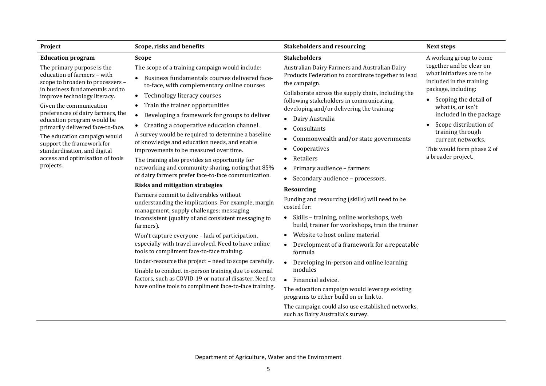| Project                                                                                                                                                                                                                                                                                                                                                                                                                                           | Scope, risks and benefits                                                                                                                                                                                                                                                                                                                                                                                                                                                                                                                                                                                                                                                                                                                                                                                                                                                                                                                                                                                                                                                                                                                                                                                                                                                                                                                | <b>Stakeholders and resourcing</b>                                                                                                                                                                                                                                                                                                                                                                                                                                                                                                                                                                                                                                                                                                                                                                                                                                                                                                                                                                                                                                                                             | <b>Next steps</b>                                                                                                                                                                                                                                                                                                                  |
|---------------------------------------------------------------------------------------------------------------------------------------------------------------------------------------------------------------------------------------------------------------------------------------------------------------------------------------------------------------------------------------------------------------------------------------------------|------------------------------------------------------------------------------------------------------------------------------------------------------------------------------------------------------------------------------------------------------------------------------------------------------------------------------------------------------------------------------------------------------------------------------------------------------------------------------------------------------------------------------------------------------------------------------------------------------------------------------------------------------------------------------------------------------------------------------------------------------------------------------------------------------------------------------------------------------------------------------------------------------------------------------------------------------------------------------------------------------------------------------------------------------------------------------------------------------------------------------------------------------------------------------------------------------------------------------------------------------------------------------------------------------------------------------------------|----------------------------------------------------------------------------------------------------------------------------------------------------------------------------------------------------------------------------------------------------------------------------------------------------------------------------------------------------------------------------------------------------------------------------------------------------------------------------------------------------------------------------------------------------------------------------------------------------------------------------------------------------------------------------------------------------------------------------------------------------------------------------------------------------------------------------------------------------------------------------------------------------------------------------------------------------------------------------------------------------------------------------------------------------------------------------------------------------------------|------------------------------------------------------------------------------------------------------------------------------------------------------------------------------------------------------------------------------------------------------------------------------------------------------------------------------------|
| <b>Education program</b>                                                                                                                                                                                                                                                                                                                                                                                                                          | <b>Scope</b>                                                                                                                                                                                                                                                                                                                                                                                                                                                                                                                                                                                                                                                                                                                                                                                                                                                                                                                                                                                                                                                                                                                                                                                                                                                                                                                             | <b>Stakeholders</b>                                                                                                                                                                                                                                                                                                                                                                                                                                                                                                                                                                                                                                                                                                                                                                                                                                                                                                                                                                                                                                                                                            | A working group to come                                                                                                                                                                                                                                                                                                            |
| The primary purpose is the<br>education of farmers - with<br>scope to broaden to processers -<br>in business fundamentals and to<br>improve technology literacy.<br>Given the communication<br>preferences of dairy farmers, the<br>education program would be<br>primarily delivered face-to-face.<br>The education campaign would<br>support the framework for<br>standardisation, and digital<br>access and optimisation of tools<br>projects. | The scope of a training campaign would include:<br>Business fundamentals courses delivered face-<br>to-face, with complementary online courses<br>Technology literacy courses<br>$\bullet$<br>Train the trainer opportunities<br>$\bullet$<br>Developing a framework for groups to deliver<br>$\bullet$<br>Creating a cooperative education channel.<br>$\bullet$<br>A survey would be required to determine a baseline<br>of knowledge and education needs, and enable<br>improvements to be measured over time.<br>The training also provides an opportunity for<br>networking and community sharing, noting that 85%<br>of dairy farmers prefer face-to-face communication.<br><b>Risks and mitigation strategies</b><br>Farmers commit to deliverables without<br>understanding the implications. For example, margin<br>management, supply challenges; messaging<br>inconsistent (quality of and consistent messaging to<br>farmers).<br>Won't capture everyone - lack of participation,<br>especially with travel involved. Need to have online<br>tools to compliment face-to-face training.<br>Under-resource the project - need to scope carefully.<br>Unable to conduct in-person training due to external<br>factors, such as COVID-19 or natural disaster. Need to<br>have online tools to compliment face-to-face training. | Australian Dairy Farmers and Australian Dairy<br>Products Federation to coordinate together to lead<br>the campaign.<br>Collaborate across the supply chain, including the<br>following stakeholders in communicating,<br>developing and/or delivering the training:<br>Dairy Australia<br>$\bullet$<br>Consultants<br>$\bullet$<br>Commonwealth and/or state governments<br>$\bullet$<br>Cooperatives<br>Retailers<br>$\bullet$<br>Primary audience - farmers<br>$\bullet$<br>Secondary audience - processors.<br>$\bullet$<br><b>Resourcing</b><br>Funding and resourcing (skills) will need to be<br>costed for:<br>Skills - training, online workshops, web<br>build, trainer for workshops, train the trainer<br>Website to host online material<br>$\bullet$<br>Development of a framework for a repeatable<br>$\bullet$<br>formula<br>Developing in-person and online learning<br>modules<br>• Financial advice.<br>The education campaign would leverage existing<br>programs to either build on or link to.<br>The campaign could also use established networks,<br>such as Dairy Australia's survey. | together and be clear on<br>what initiatives are to be<br>included in the training<br>package, including:<br>Scoping the detail of<br>$\bullet$<br>what is, or isn't<br>included in the package<br>Scope distribution of<br>$\bullet$<br>training through<br>current networks.<br>This would form phase 2 of<br>a broader project. |